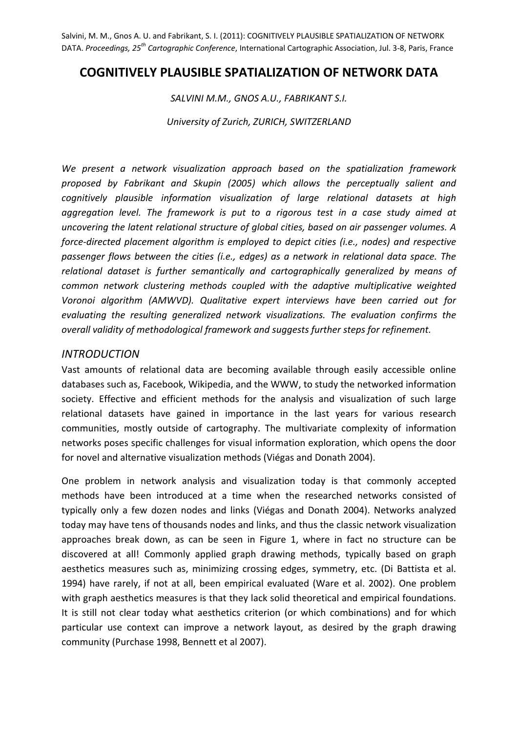Salvini, M. M., Gnos A. U. and Fabrikant, S. I. (2011): COGNITIVELY PLAUSIBLE SPATIALIZATION OF NETWORK DATA. *Proceedings, 25th Cartographic Conference*, International Cartographic Association, Jul. 3‐8, Paris, France

# **COGNITIVELY PLAUSIBLE SPATIALIZATION OF NETWORK DATA**

*SALVINI M.M., GNOS A.U., FABRIKANT S.I.*

*University of Zurich, ZURICH, SWITZERLAND*

*We present a network visualization approach based on the spatialization framework proposed by Fabrikant and Skupin (2005) which allows the perceptually salient and cognitively plausible information visualization of large relational datasets at high aggregation level. The framework is put to a rigorous test in a case study aimed at uncovering the latent relational structure of global cities, based on air passenger volumes. A force‐directed placement algorithm is employed to depict cities (i.e., nodes) and respective passenger flows between the cities (i.e., edges) as a network in relational data space. The relational dataset is further semantically and cartographically generalized by means of common network clustering methods coupled with the adaptive multiplicative weighted Voronoi algorithm (AMWVD). Qualitative expert interviews have been carried out for evaluating the resulting generalized network visualizations. The evaluation confirms the overall validity of methodological framework and suggests further steps for refinement.*

#### *INTRODUCTION*

Vast amounts of relational data are becoming available through easily accessible online databases such as, Facebook, Wikipedia, and the WWW, to study the networked information society. Effective and efficient methods for the analysis and visualization of such large relational datasets have gained in importance in the last years for various research communities, mostly outside of cartography. The multivariate complexity of information networks poses specific challenges for visual information exploration, which opens the door for novel and alternative visualization methods (Viégas and Donath 2004).

One problem in network analysis and visualization today is that commonly accepted methods have been introduced at a time when the researched networks consisted of typically only a few dozen nodes and links (Viégas and Donath 2004). Networks analyzed today may have tens of thousands nodes and links, and thus the classic network visualization approaches break down, as can be seen in Figure 1, where in fact no structure can be discovered at all! Commonly applied graph drawing methods, typically based on graph aesthetics measures such as, minimizing crossing edges, symmetry, etc. (Di Battista et al. 1994) have rarely, if not at all, been empirical evaluated (Ware et al. 2002). One problem with graph aesthetics measures is that they lack solid theoretical and empirical foundations. It is still not clear today what aesthetics criterion (or which combinations) and for which particular use context can improve a network layout, as desired by the graph drawing community (Purchase 1998, Bennett et al 2007).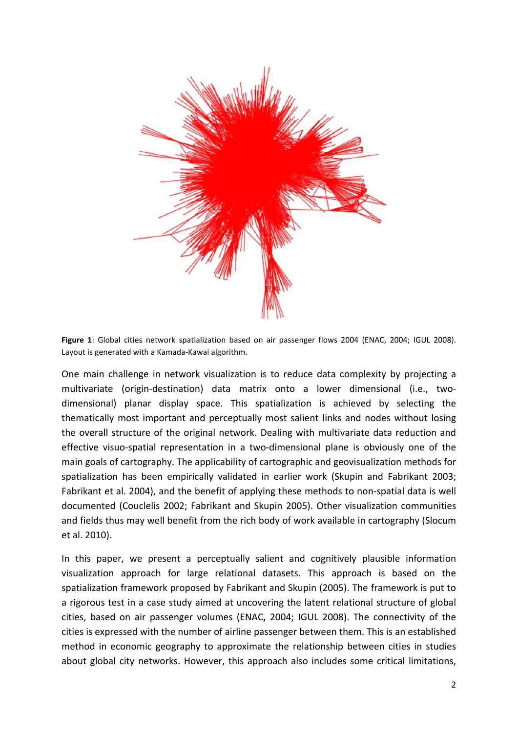

**Figure 1**: Global cities network spatialization based on air passenger flows 2004 (ENAC, 2004; IGUL 2008). Layout is generated with a Kamada‐Kawai algorithm.

One main challenge in network visualization is to reduce data complexity by projecting a multivariate (origin‐destination) data matrix onto a lower dimensional (i.e., two‐ dimensional) planar display space. This spatialization is achieved by selecting the thematically most important and perceptually most salient links and nodes without losing the overall structure of the original network. Dealing with multivariate data reduction and effective visuo-spatial representation in a two-dimensional plane is obviously one of the main goals of cartography. The applicability of cartographic and geovisualization methods for spatialization has been empirically validated in earlier work (Skupin and Fabrikant 2003; Fabrikant et al. 2004), and the benefit of applying these methods to non‐spatial data is well documented (Couclelis 2002; Fabrikant and Skupin 2005). Other visualization communities and fields thus may well benefit from the rich body of work available in cartography (Slocum et al. 2010).

In this paper, we present a perceptually salient and cognitively plausible information visualization approach for large relational datasets. This approach is based on the spatialization framework proposed by Fabrikant and Skupin (2005). The framework is put to a rigorous test in a case study aimed at uncovering the latent relational structure of global cities, based on air passenger volumes (ENAC, 2004; IGUL 2008). The connectivity of the cities is expressed with the number of airline passenger between them. This is an established method in economic geography to approximate the relationship between cities in studies about global city networks. However, this approach also includes some critical limitations,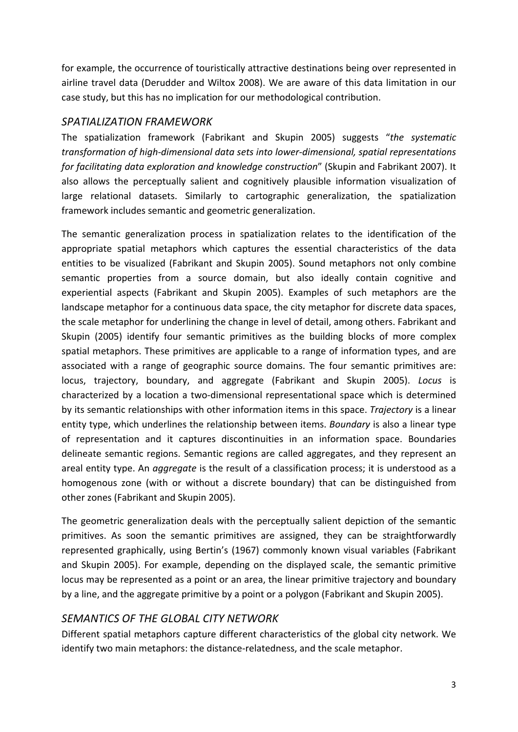for example, the occurrence of touristically attractive destinations being over represented in airline travel data (Derudder and Wiltox 2008). We are aware of this data limitation in our case study, but this has no implication for our methodological contribution.

# *SPATIALIZATION FRAMEWORK*

The spatialization framework (Fabrikant and Skupin 2005) suggests "*the systematic transformation of high‐dimensional data sets into lower‐dimensional, spatial representations for facilitating data exploration and knowledge construction*" (Skupin and Fabrikant 2007). It also allows the perceptually salient and cognitively plausible information visualization of large relational datasets. Similarly to cartographic generalization, the spatialization framework includes semantic and geometric generalization.

The semantic generalization process in spatialization relates to the identification of the appropriate spatial metaphors which captures the essential characteristics of the data entities to be visualized (Fabrikant and Skupin 2005). Sound metaphors not only combine semantic properties from a source domain, but also ideally contain cognitive and experiential aspects (Fabrikant and Skupin 2005). Examples of such metaphors are the landscape metaphor for a continuous data space, the city metaphor for discrete data spaces, the scale metaphor for underlining the change in level of detail, among others. Fabrikant and Skupin (2005) identify four semantic primitives as the building blocks of more complex spatial metaphors. These primitives are applicable to a range of information types, and are associated with a range of geographic source domains. The four semantic primitives are: locus, trajectory, boundary, and aggregate (Fabrikant and Skupin 2005). *Locus* is characterized by a location a two‐dimensional representational space which is determined by its semantic relationships with other information items in this space. *Trajectory* is a linear entity type, which underlines the relationship between items. *Boundary* is also a linear type of representation and it captures discontinuities in an information space. Boundaries delineate semantic regions. Semantic regions are called aggregates, and they represent an areal entity type. An *aggregate* is the result of a classification process; it is understood as a homogenous zone (with or without a discrete boundary) that can be distinguished from other zones (Fabrikant and Skupin 2005).

The geometric generalization deals with the perceptually salient depiction of the semantic primitives. As soon the semantic primitives are assigned, they can be straightforwardly represented graphically, using Bertin's (1967) commonly known visual variables (Fabrikant and Skupin 2005). For example, depending on the displayed scale, the semantic primitive locus may be represented as a point or an area, the linear primitive trajectory and boundary by a line, and the aggregate primitive by a point or a polygon (Fabrikant and Skupin 2005).

# *SEMANTICS OF THE GLOBAL CITY NETWORK*

Different spatial metaphors capture different characteristics of the global city network. We identify two main metaphors: the distance-relatedness, and the scale metaphor.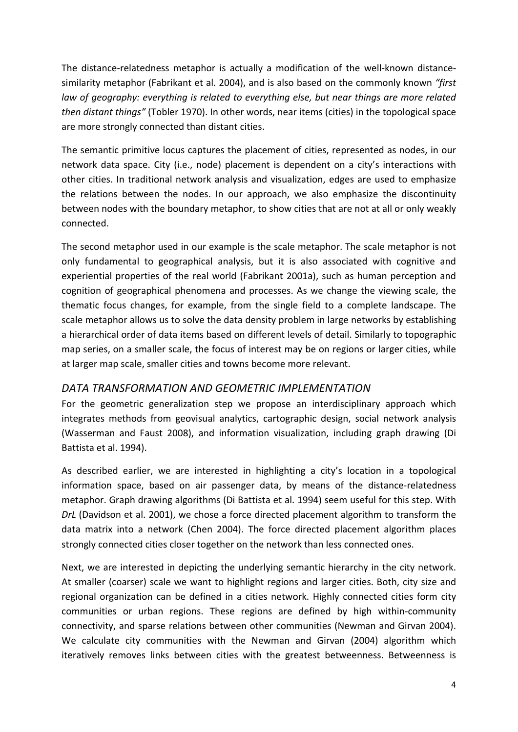The distance-relatedness metaphor is actually a modification of the well-known distancesimilarity metaphor (Fabrikant et al. 2004), and is also based on the commonly known *"first law of geography: everything is related to everything else, but near things are more related then distant things"* (Tobler 1970). In other words, near items (cities) in the topological space are more strongly connected than distant cities.

The semantic primitive locus captures the placement of cities, represented as nodes, in our network data space. City (i.e., node) placement is dependent on a city's interactions with other cities. In traditional network analysis and visualization, edges are used to emphasize the relations between the nodes. In our approach, we also emphasize the discontinuity between nodes with the boundary metaphor, to show cities that are not at all or only weakly connected.

The second metaphor used in our example is the scale metaphor. The scale metaphor is not only fundamental to geographical analysis, but it is also associated with cognitive and experiential properties of the real world (Fabrikant 2001a), such as human perception and cognition of geographical phenomena and processes. As we change the viewing scale, the thematic focus changes, for example, from the single field to a complete landscape. The scale metaphor allows us to solve the data density problem in large networks by establishing a hierarchical order of data items based on different levels of detail. Similarly to topographic map series, on a smaller scale, the focus of interest may be on regions or larger cities, while at larger map scale, smaller cities and towns become more relevant.

# *DATA TRANSFORMATION AND GEOMETRIC IMPLEMENTATION*

For the geometric generalization step we propose an interdisciplinary approach which integrates methods from geovisual analytics, cartographic design, social network analysis (Wasserman and Faust 2008), and information visualization, including graph drawing (Di Battista et al. 1994).

As described earlier, we are interested in highlighting a city's location in a topological information space, based on air passenger data, by means of the distance-relatedness metaphor. Graph drawing algorithms (Di Battista et al. 1994) seem useful for this step. With *DrL* (Davidson et al. 2001), we chose a force directed placement algorithm to transform the data matrix into a network (Chen 2004). The force directed placement algorithm places strongly connected cities closer together on the network than less connected ones.

Next, we are interested in depicting the underlying semantic hierarchy in the city network. At smaller (coarser) scale we want to highlight regions and larger cities. Both, city size and regional organization can be defined in a cities network. Highly connected cities form city communities or urban regions. These regions are defined by high within‐community connectivity, and sparse relations between other communities (Newman and Girvan 2004). We calculate city communities with the Newman and Girvan (2004) algorithm which iteratively removes links between cities with the greatest betweenness. Betweenness is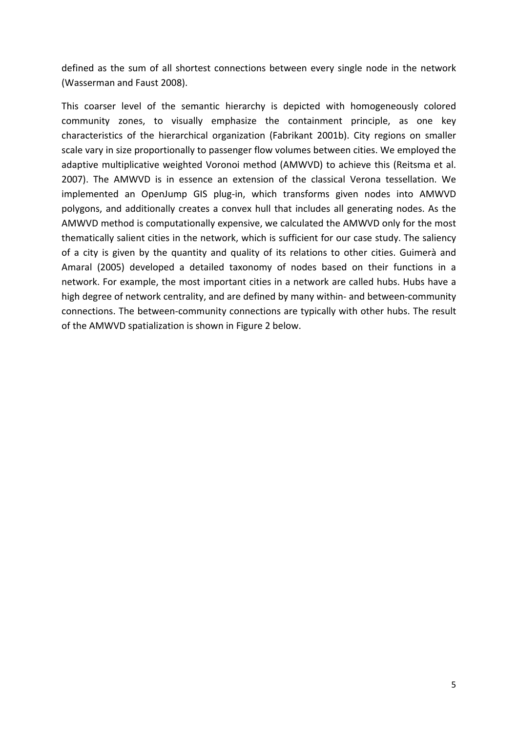defined as the sum of all shortest connections between every single node in the network (Wasserman and Faust 2008).

This coarser level of the semantic hierarchy is depicted with homogeneously colored community zones, to visually emphasize the containment principle, as one key characteristics of the hierarchical organization (Fabrikant 2001b). City regions on smaller scale vary in size proportionally to passenger flow volumes between cities. We employed the adaptive multiplicative weighted Voronoi method (AMWVD) to achieve this (Reitsma et al. 2007). The AMWVD is in essence an extension of the classical Verona tessellation. We implemented an OpenJump GIS plug-in, which transforms given nodes into AMWVD polygons, and additionally creates a convex hull that includes all generating nodes. As the AMWVD method is computationally expensive, we calculated the AMWVD only for the most thematically salient cities in the network, which is sufficient for our case study. The saliency of a city is given by the quantity and quality of its relations to other cities. Guimerà and Amaral (2005) developed a detailed taxonomy of nodes based on their functions in a network. For example, the most important cities in a network are called hubs. Hubs have a high degree of network centrality, and are defined by many within- and between-community connections. The between‐community connections are typically with other hubs. The result of the AMWVD spatialization is shown in Figure 2 below.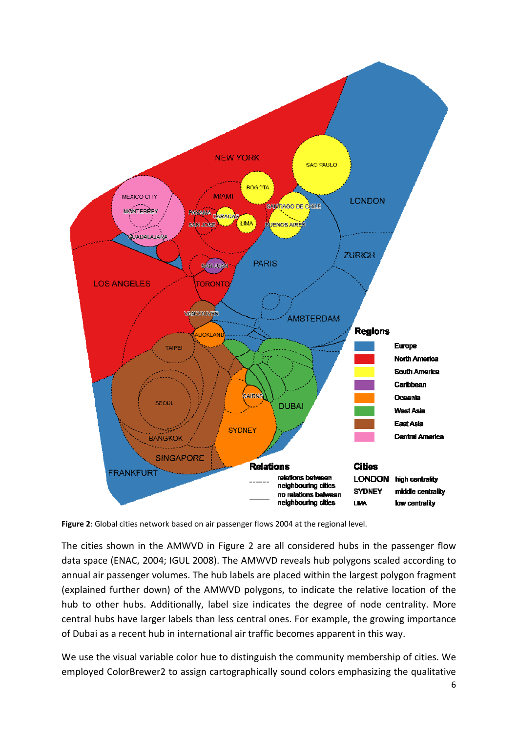

**Figure 2**: Global cities network based on air passenger flows 2004 at the regional level.

The cities shown in the AMWVD in Figure 2 are all considered hubs in the passenger flow data space (ENAC, 2004; IGUL 2008). The AMWVD reveals hub polygons scaled according to annual air passenger volumes. The hub labels are placed within the largest polygon fragment (explained further down) of the AMWVD polygons, to indicate the relative location of the hub to other hubs. Additionally, label size indicates the degree of node centrality. More central hubs have larger labels than less central ones. For example, the growing importance of Dubai as a recent hub in international air traffic becomes apparent in this way.

We use the visual variable color hue to distinguish the community membership of cities. We employed ColorBrewer2 to assign cartographically sound colors emphasizing the qualitative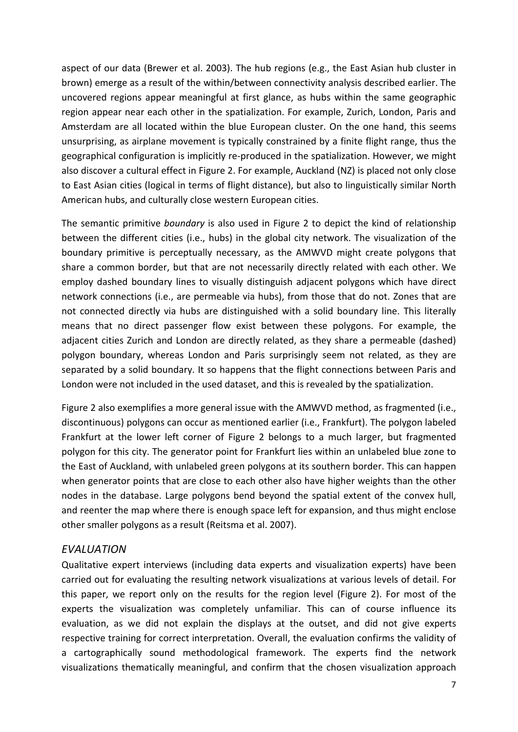aspect of our data (Brewer et al. 2003). The hub regions (e.g., the East Asian hub cluster in brown) emerge as a result of the within/between connectivity analysis described earlier. The uncovered regions appear meaningful at first glance, as hubs within the same geographic region appear near each other in the spatialization. For example, Zurich, London, Paris and Amsterdam are all located within the blue European cluster. On the one hand, this seems unsurprising, as airplane movement is typically constrained by a finite flight range, thus the geographical configuration is implicitly re‐produced in the spatialization. However, we might also discover a cultural effect in Figure 2. For example, Auckland (NZ) is placed not only close to East Asian cities (logical in terms of flight distance), but also to linguistically similar North American hubs, and culturally close western European cities.

The semantic primitive *boundary* is also used in Figure 2 to depict the kind of relationship between the different cities (i.e., hubs) in the global city network. The visualization of the boundary primitive is perceptually necessary, as the AMWVD might create polygons that share a common border, but that are not necessarily directly related with each other. We employ dashed boundary lines to visually distinguish adjacent polygons which have direct network connections (i.e., are permeable via hubs), from those that do not. Zones that are not connected directly via hubs are distinguished with a solid boundary line. This literally means that no direct passenger flow exist between these polygons. For example, the adjacent cities Zurich and London are directly related, as they share a permeable (dashed) polygon boundary, whereas London and Paris surprisingly seem not related, as they are separated by a solid boundary. It so happens that the flight connections between Paris and London were not included in the used dataset, and this is revealed by the spatialization.

Figure 2 also exemplifies a more general issue with the AMWVD method, as fragmented (i.e., discontinuous) polygons can occur as mentioned earlier (i.e., Frankfurt). The polygon labeled Frankfurt at the lower left corner of Figure 2 belongs to a much larger, but fragmented polygon for this city. The generator point for Frankfurt lies within an unlabeled blue zone to the East of Auckland, with unlabeled green polygons at its southern border. This can happen when generator points that are close to each other also have higher weights than the other nodes in the database. Large polygons bend beyond the spatial extent of the convex hull, and reenter the map where there is enough space left for expansion, and thus might enclose other smaller polygons as a result (Reitsma et al. 2007).

#### *EVALUATION*

Qualitative expert interviews (including data experts and visualization experts) have been carried out for evaluating the resulting network visualizations at various levels of detail. For this paper, we report only on the results for the region level (Figure 2). For most of the experts the visualization was completely unfamiliar. This can of course influence its evaluation, as we did not explain the displays at the outset, and did not give experts respective training for correct interpretation. Overall, the evaluation confirms the validity of a cartographically sound methodological framework. The experts find the network visualizations thematically meaningful, and confirm that the chosen visualization approach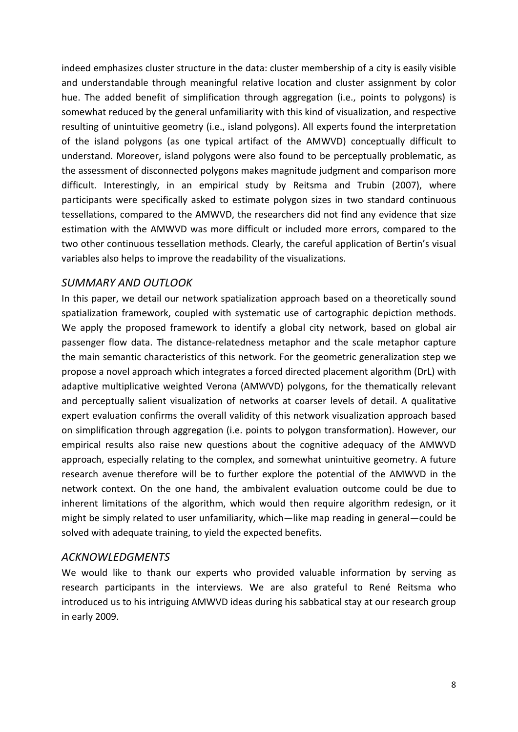indeed emphasizes cluster structure in the data: cluster membership of a city is easily visible and understandable through meaningful relative location and cluster assignment by color hue. The added benefit of simplification through aggregation (i.e., points to polygons) is somewhat reduced by the general unfamiliarity with this kind of visualization, and respective resulting of unintuitive geometry (i.e., island polygons). All experts found the interpretation of the island polygons (as one typical artifact of the AMWVD) conceptually difficult to understand. Moreover, island polygons were also found to be perceptually problematic, as the assessment of disconnected polygons makes magnitude judgment and comparison more difficult. Interestingly, in an empirical study by Reitsma and Trubin (2007), where participants were specifically asked to estimate polygon sizes in two standard continuous tessellations, compared to the AMWVD, the researchers did not find any evidence that size estimation with the AMWVD was more difficult or included more errors, compared to the two other continuous tessellation methods. Clearly, the careful application of Bertin's visual variables also helps to improve the readability of the visualizations.

### *SUMMARY AND OUTLOOK*

In this paper, we detail our network spatialization approach based on a theoretically sound spatialization framework, coupled with systematic use of cartographic depiction methods. We apply the proposed framework to identify a global city network, based on global air passenger flow data. The distance‐relatedness metaphor and the scale metaphor capture the main semantic characteristics of this network. For the geometric generalization step we propose a novel approach which integrates a forced directed placement algorithm (DrL) with adaptive multiplicative weighted Verona (AMWVD) polygons, for the thematically relevant and perceptually salient visualization of networks at coarser levels of detail. A qualitative expert evaluation confirms the overall validity of this network visualization approach based on simplification through aggregation (i.e. points to polygon transformation). However, our empirical results also raise new questions about the cognitive adequacy of the AMWVD approach, especially relating to the complex, and somewhat unintuitive geometry. A future research avenue therefore will be to further explore the potential of the AMWVD in the network context. On the one hand, the ambivalent evaluation outcome could be due to inherent limitations of the algorithm, which would then require algorithm redesign, or it might be simply related to user unfamiliarity, which—like map reading in general—could be solved with adequate training, to yield the expected benefits.

#### *ACKNOWLEDGMENTS*

We would like to thank our experts who provided valuable information by serving as research participants in the interviews. We are also grateful to René Reitsma who introduced us to his intriguing AMWVD ideas during his sabbatical stay at our research group in early 2009.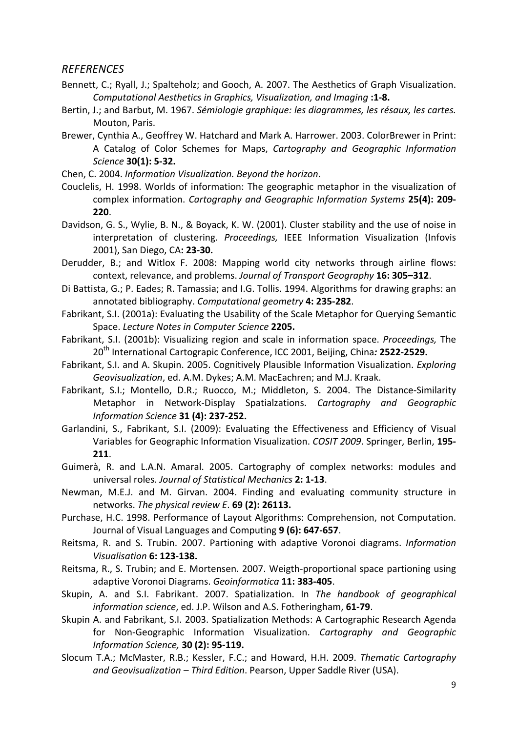#### *REFERENCES*

- Bennett, C.; Ryall, J.; Spalteholz; and Gooch, A. 2007. The Aesthetics of Graph Visualization. *Computational Aesthetics in Graphics, Visualization, and Imaging* **:1‐8.**
- Bertin, J.; and Barbut, M. 1967. *Sémiologie graphique: les diagrammes, les résaux, les cartes.* Mouton, Paris.
- Brewer, Cynthia A., Geoffrey W. Hatchard and Mark A. Harrower. 2003. ColorBrewer in Print: A Catalog of Color Schemes for Maps, *Cartography and Geographic Information Science* **30(1): 5‐32.**
- Chen, C. 2004. *Information Visualization. Beyond the horizon*.
- Couclelis, H. 1998. Worlds of information: The geographic metaphor in the visualization of complex information. *Cartography and Geographic Information Systems* **25(4): 209‐ 220**.
- Davidson, G. S., Wylie, B. N., & Boyack, K. W. (2001). Cluster stability and the use of noise in interpretation of clustering. *Proceedings,* IEEE Information Visualization (Infovis 2001), San Diego, CA**: 23‐30.**
- Derudder, B.; and Witlox F. 2008: Mapping world city networks through airline flows: context, relevance, and problems. *Journal of Transport Geography* **16: 305–312**.
- Di Battista, G.; P. Eades; R. Tamassia; and I.G. Tollis. 1994. Algorithms for drawing graphs: an annotated bibliography. *Computational geometry* **4: 235‐282**.
- Fabrikant, S.I. (2001a): Evaluating the Usability of the Scale Metaphor for Querying Semantic Space. *Lecture Notes in Computer Science* **2205.**
- Fabrikant, S.I. (2001b): Visualizing region and scale in information space. *Proceedings,* The 20th International Cartograpic Conference, ICC 2001, Beijing, China*:* **2522‐2529.**
- Fabrikant, S.I. and A. Skupin. 2005. Cognitively Plausible Information Visualization. *Exploring Geovisualization*, ed. A.M. Dykes; A.M. MacEachren; and M.J. Kraak.
- Fabrikant, S.I.; Montello, D.R.; Ruocco, M.; Middleton, S. 2004. The Distance-Similarity Metaphor in Network‐Display Spatialzations. *Cartography and Geographic Information Science* **31 (4): 237‐252.**
- Garlandini, S., Fabrikant, S.I. (2009): Evaluating the Effectiveness and Efficiency of Visual Variables for Geographic Information Visualization. *COSIT 2009*. Springer, Berlin, **195‐ 211**.
- Guimerà, R. and L.A.N. Amaral. 2005. Cartography of complex networks: modules and universal roles. *Journal of Statistical Mechanics* **2: 1‐13**.
- Newman, M.E.J. and M. Girvan. 2004. Finding and evaluating community structure in networks. *The physical review E*. **69 (2): 26113.**
- Purchase, H.C. 1998. Performance of Layout Algorithms: Comprehension, not Computation. Journal of Visual Languages and Computing **9 (6): 647‐657**.
- Reitsma, R. and S. Trubin. 2007. Partioning with adaptive Voronoi diagrams. *Information Visualisation* **6: 123‐138.**
- Reitsma, R., S. Trubin; and E. Mortensen. 2007. Weigth‐proportional space partioning using adaptive Voronoi Diagrams. *Geoinformatica* **11: 383‐405**.
- Skupin, A. and S.I. Fabrikant. 2007. Spatialization. In *The handbook of geographical information science*, ed. J.P. Wilson and A.S. Fotheringham, **61‐79**.
- Skupin A. and Fabrikant, S.I. 2003. Spatialization Methods: A Cartographic Research Agenda for Non‐Geographic Information Visualization. *Cartography and Geographic Information Science,* **30 (2): 95‐119.**
- Slocum T.A.; McMaster, R.B.; Kessler, F.C.; and Howard, H.H. 2009. *Thematic Cartography and Geovisualization – Third Edition*. Pearson, Upper Saddle River (USA).